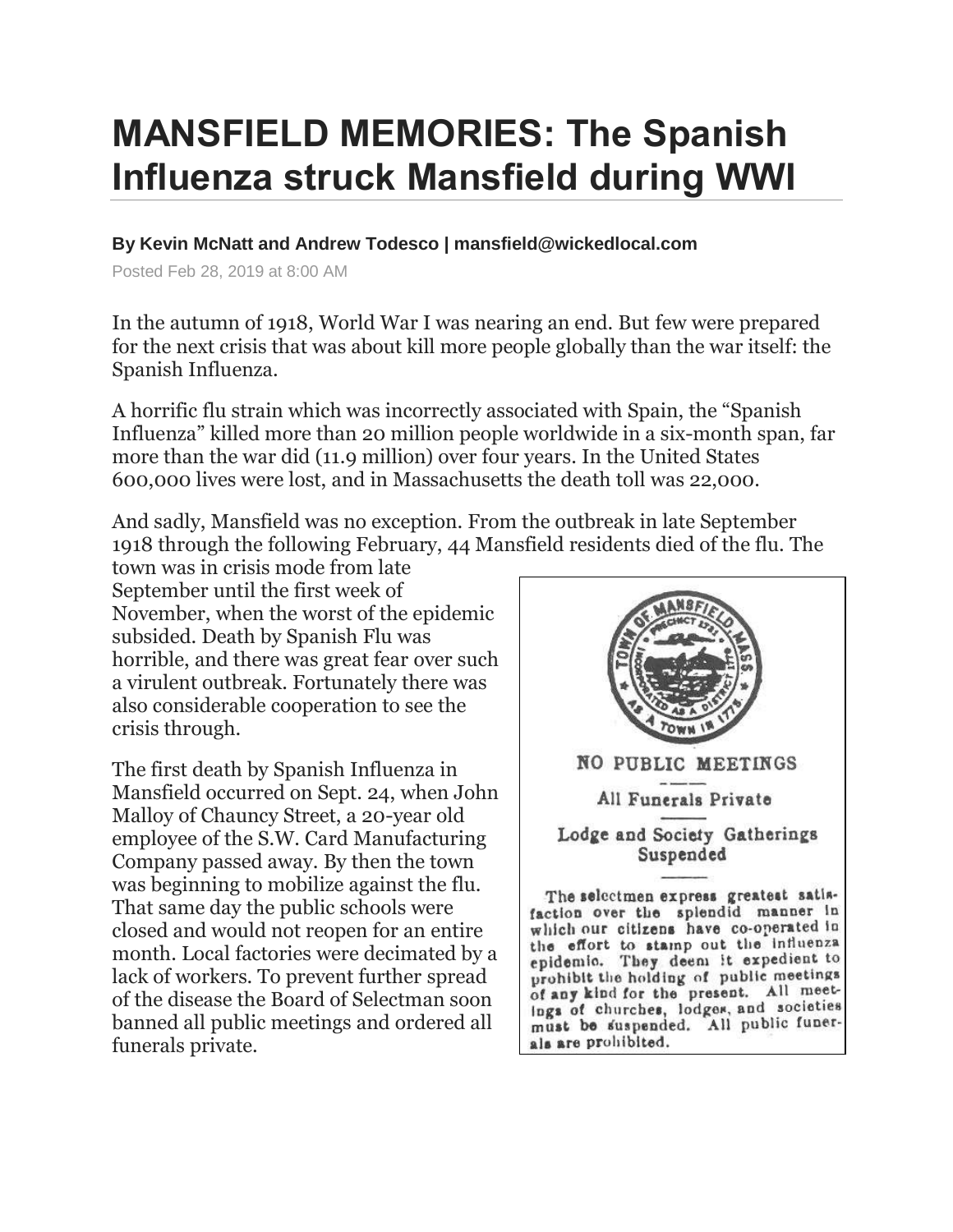## **MANSFIELD MEMORIES: The Spanish Influenza struck Mansfield during WWI**

## **By Kevin McNatt and Andrew Todesco | mansfield@wickedlocal.com**

Posted Feb 28, 2019 at 8:00 AM

In the autumn of 1918, World War I was nearing an end. But few were prepared for the next crisis that was about kill more people globally than the war itself: the Spanish Influenza.

A horrific flu strain which was incorrectly associated with Spain, the "Spanish Influenza" killed more than 20 million people worldwide in a six-month span, far more than the war did (11.9 million) over four years. In the United States 600,000 lives were lost, and in Massachusetts the death toll was 22,000.

And sadly, Mansfield was no exception. From the outbreak in late September 1918 through the following February, 44 Mansfield residents died of the flu. The

town was in crisis mode from late September until the first week of November, when the worst of the epidemic subsided. Death by Spanish Flu was horrible, and there was great fear over such a virulent outbreak. Fortunately there was also considerable cooperation to see the crisis through.

The first death by Spanish Influenza in Mansfield occurred on Sept. 24, when John Malloy of Chauncy Street, a 20-year old employee of the S.W. Card Manufacturing Company passed away. By then the town was beginning to mobilize against the flu. That same day the public schools were closed and would not reopen for an entire month. Local factories were decimated by a lack of workers. To prevent further spread of the disease the Board of Selectman soon banned all public meetings and ordered all funerals private.